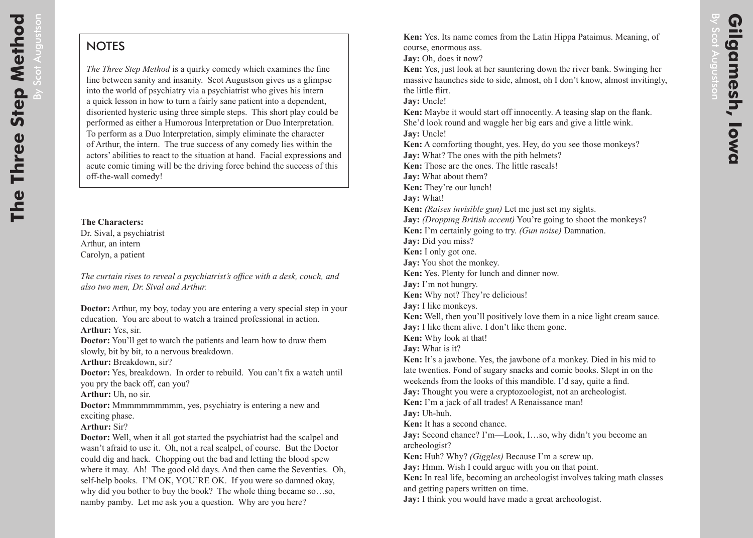$\overline{B}$ 

Scot

Augustson

## **NOTES**

*The Three Step Method* is a quirky comedy which examines the fine line between sanity and insanity. Scot Augustson gives us a glimpse into the world of psychiatry via a psychiatrist who gives his intern a quick lesson in how to turn a fairly sane patient into a dependent, disoriented hysteric using three simple steps. This short play could be performed as either a Humorous Interpretation or Duo Interpretation. To perform as a Duo Interpretation, simply eliminate the character of Arthur, the intern. The true success of any comedy lies within the actors' abilities to react to the situation at hand. Facial expressions and acute comic timing will be the driving force behind the success of this off-the-wall comedy!

**The Characters:** Dr. Sival, a psychiatrist Arthur, an intern Carolyn, a patient

*The curtain rises to reveal a psychiatrist's office with a desk, couch, and also two men, Dr. Sival and Arthur.*

**Doctor:** Arthur, my boy, today you are entering a very special step in your education. You are about to watch a trained professional in action. **Arthur:** Yes, sir.

**Doctor:** You'll get to watch the patients and learn how to draw them slowly, bit by bit, to a nervous breakdown.

**Arthur:** Breakdown, sir?

**Doctor:** Yes, breakdown. In order to rebuild. You can't fix a watch until you pry the back off, can you?

**Arthur:** Uh, no sir.

**Doctor:** Mmmmmmmmmm, yes, psychiatry is entering a new and exciting phase.

## **Arthur:** Sir?

**Doctor:** Well, when it all got started the psychiatrist had the scalpel and wasn't afraid to use it. Oh, not a real scalpel, of course. But the Doctor could dig and hack. Chopping out the bad and letting the blood spew where it may. Ah! The good old days. And then came the Seventies. Oh, self-help books. I'M OK, YOU'RE OK. If you were so damned okay, why did you bother to buy the book? The whole thing became so…so, namby pamby. Let me ask you a question. Why are you here?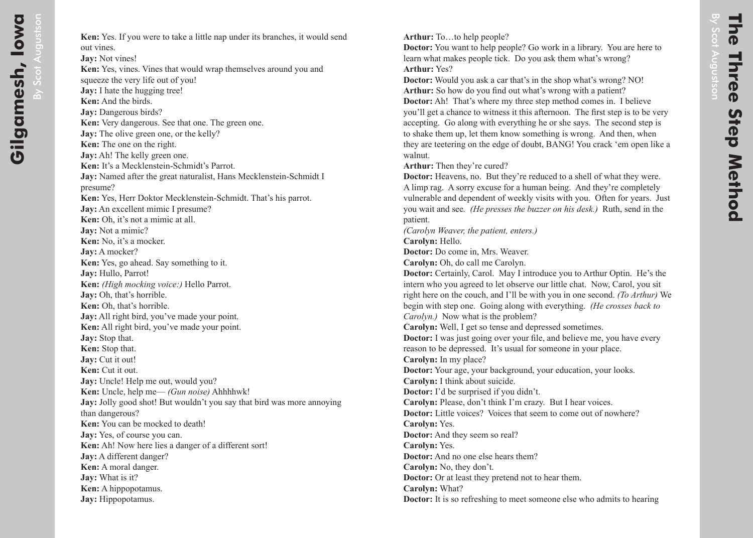By

Scot

Augustson

**Arthur:** To…to help people?

**Doctor:** You want to help people? Go work in a library. You are here to learn what makes people tick. Do you ask them what's wrong? **Arthur:** Yes?

**Doctor:** Would you ask a car that's in the shop what's wrong? NO! Arthur: So how do you find out what's wrong with a patient?

**Doctor:** Ah! That's where my three step method comes in. I believe you'll get a chance to witness it this afternoon. The first step is to be very accepting. Go along with everything he or she says. The second step is to shake them up, let them know something is wrong. And then, when they are teetering on the edge of doubt, BANG! You crack 'em open like a walnut.

**Arthur:** Then they're cured?

**Doctor:** Heavens, no. But they're reduced to a shell of what they were. A limp rag. A sorry excuse for a human being. And they're completely vulnerable and dependent of weekly visits with you. Often for years. Just you wait and see*. (He presses the buzzer on his desk.)* Ruth, send in the patient.

*(Carolyn Weaver, the patient, enters.)*

**Carolyn:** Hello.

**Doctor:** Do come in, Mrs. Weaver.

**Carolyn:** Oh, do call me Carolyn.

**Doctor:** Certainly, Carol. May I introduce you to Arthur Optin. He's the intern who you agreed to let observe our little chat. Now, Carol, you sit right here on the couch, and I'll be with you in one second. *(To Arthur)* We begin with step one. Going along with everything. *(He crosses back to Carolyn.)* Now what is the problem?

**Carolyn:** Well, I get so tense and depressed sometimes.

**Doctor:** I was just going over your file, and believe me, you have every reason to be depressed. It's usual for someone in your place.

**Carolyn:** In my place?

**Doctor:** Your age, your background, your education, your looks.

**Carolyn:** I think about suicide.

**Doctor:** I'd be surprised if you didn't.

**Carolyn:** Please, don't think I'm crazy. But I hear voices.

**Doctor:** Little voices? Voices that seem to come out of nowhere? **Carolyn:** Yes.

**Doctor:** And they seem so real?

**Carolyn:** Yes.

**Doctor:** And no one else hears them?

**Carolyn:** No, they don't.

**Doctor:** Or at least they pretend not to hear them.

**Carolyn:** What?

**Doctor:** It is so refreshing to meet someone else who admits to hearing